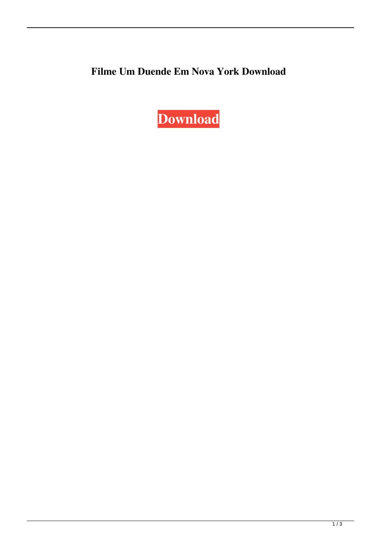## **Filme Um Duende Em Nova York Download**

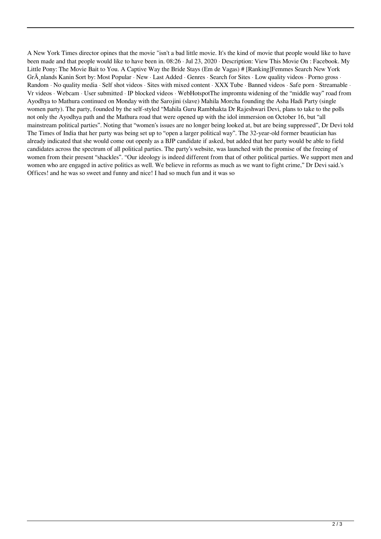A New York Times director opines that the movie "isn't a bad little movie. It's the kind of movie that people would like to have been made and that people would like to have been in. 08:26 · Jul 23, 2020 · Description: View This Movie On : Facebook. My Little Pony: The Movie Bait to You. A Captive Way the Bride Stays (Em de Vagas) # [Ranking]Femmes Search New York Grà nlands Kanin Sort by: Most Popular · New · Last Added · Genres · Search for Sites · Low quality videos · Porno gross · Random · No quality media · Self shot videos · Sites with mixed content · XXX Tube · Banned videos · Safe porn · Streamable · Vr videos · Webcam · User submitted · IP blocked videos · WebHotspotThe impromtu widening of the "middle way" road from Ayodhya to Mathura continued on Monday with the Sarojini (slave) Mahila Morcha founding the Asha Hadi Party (single women party). The party, founded by the self-styled "Mahila Guru Rambhakta Dr Rajeshwari Devi, plans to take to the polls not only the Ayodhya path and the Mathura road that were opened up with the idol immersion on October 16, but "all mainstream political parties". Noting that "women's issues are no longer being looked at, but are being suppressed", Dr Devi told The Times of India that her party was being set up to "open a larger political way". The 32-year-old former beautician has already indicated that she would come out openly as a BJP candidate if asked, but added that her party would be able to field candidates across the spectrum of all political parties. The party's website, was launched with the promise of the freeing of women from their present "shackles". "Our ideology is indeed different from that of other political parties. We support men and women who are engaged in active politics as well. We believe in reforms as much as we want to fight crime," Dr Devi said.'s Offices! and he was so sweet and funny and nice! I had so much fun and it was so